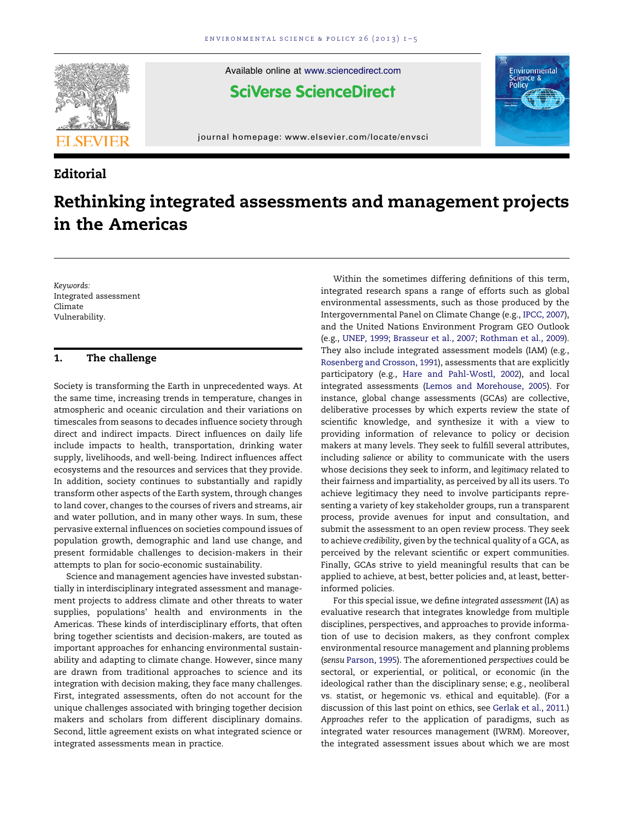

Available online at [www.sciencedirect.com](http://www.sciencedirect.com/science/journal/14629011)

**SciVerse ScienceDirect** 

journal homepage: www.elsevier.com/locate/envsci

## **Editorial**

# Rethinking integrated assessments and management projects in the Americas

Keywords: Integrated assessment Climate Vulnerability.

### 1. The challenge

Society is transforming the Earth in unprecedented ways. At the same time, increasing trends in temperature, changes in atmospheric and oceanic circulation and their variations on timescales from seasons to decades influence society through direct and indirect impacts. Direct influences on daily life include impacts to health, transportation, drinking water supply, livelihoods, and well-being. Indirect influences affect ecosystems and the resources and services that they provide. In addition, society continues to substantially and rapidly transform other aspects of the Earth system, through changes to land cover, changes to the courses of rivers and streams, air and water pollution, and in many other ways. In sum, these pervasive external influences on societies compound issues of population growth, demographic and land use change, and present formidable challenges to decision-makers in their attempts to plan for socio-economic sustainability.

Science and management agencies have invested substantially in interdisciplinary integrated assessment and management projects to address climate and other threats to water supplies, populations' health and environments in the Americas. These kinds of interdisciplinary efforts, that often bring together scientists and decision-makers, are touted as important approaches for enhancing environmental sustainability and adapting to climate change. However, since many are drawn from traditional approaches to science and its integration with decision making, they face many challenges. First, integrated assessments, often do not account for the unique challenges associated with bringing together decision makers and scholars from different disciplinary domains. Second, little agreement exists on what integrated science or integrated assessments mean in practice.

Within the sometimes differing definitions of this term, integrated research spans a range of efforts such as global environmental assessments, such as those produced by the Intergovernmental Panel on Climate Change (e.g., [IPCC,](#page-3-0) 2007), and the United Nations Environment Program GEO Outlook (e.g., UNEP, 1999; Brasseur et al., 2007; [Rothman](#page-4-0) et al., 2009). They also include integrated assessment models (IAM) (e.g., [Rosenberg](#page-4-0) and Crosson, 1991), assessments that are explicitly participatory (e.g., Hare and [Pahl-Wostl,](#page-3-0) 2002), and local integrated assessments (Lemos and [Morehouse,](#page-3-0) 2005). For instance, global change assessments (GCAs) are collective, deliberative processes by which experts review the state of scientific knowledge, and synthesize it with a view to providing information of relevance to policy or decision makers at many levels. They seek to fulfill several attributes, including salience or ability to communicate with the users whose decisions they seek to inform, and legitimacy related to their fairness and impartiality, as perceived by all its users. To achieve legitimacy they need to involve participants representing a variety of key stakeholder groups, run a transparent process, provide avenues for input and consultation, and submit the assessment to an open review process. They seek to achieve credibility, given by the technical quality of a GCA, as perceived by the relevant scientific or expert communities. Finally, GCAs strive to yield meaningful results that can be applied to achieve, at best, better policies and, at least, betterinformed policies.

Environmental  $P^{\text{max}}$ 

For this special issue, we define integrated assessment (IA) as evaluative research that integrates knowledge from multiple disciplines, perspectives, and approaches to provide information of use to decision makers, as they confront complex environmental resource management and planning problems (sensu [Parson,](#page-4-0) 1995). The aforementioned perspectives could be sectoral, or experiential, or political, or economic (in the ideological rather than the disciplinary sense; e.g., neoliberal vs. statist, or hegemonic vs. ethical and equitable). (For a discussion of this last point on ethics, see [Gerlak](#page-3-0) et al., 2011.) Approaches refer to the application of paradigms, such as integrated water resources management (IWRM). Moreover, the integrated assessment issues about which we are most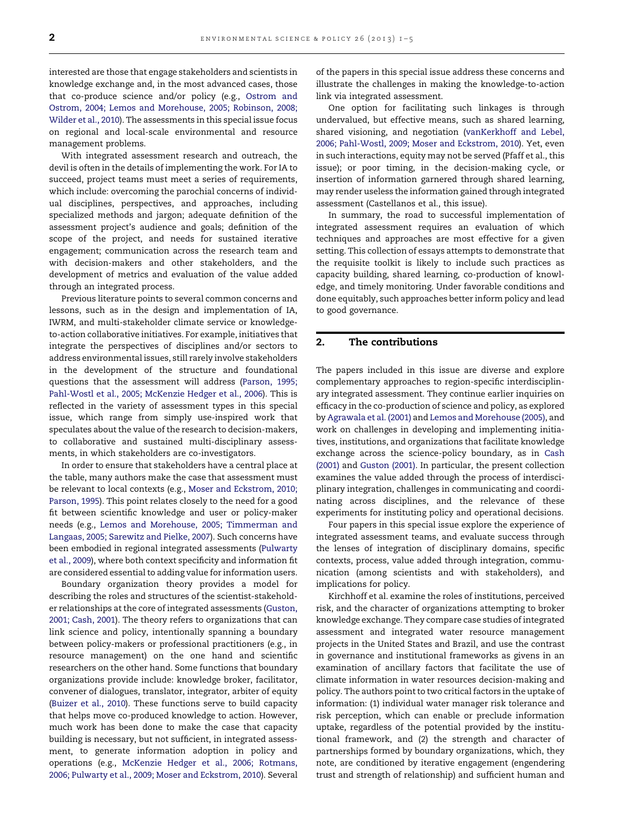interested are those that engage stakeholders and scientists in knowledge exchange and, in the most advanced cases, those that co-produce science and/or policy (e.g., [Ostrom](#page-3-0) and Ostrom, 2004; Lemos and [Morehouse,](#page-3-0) 2005; Robinson, 2008; [Wilder](#page-3-0) et al., 2010). The assessments in this special issue focus on regional and local-scale environmental and resource management problems.

With integrated assessment research and outreach, the devil is often in the details of implementing the work. For IA to succeed, project teams must meet a series of requirements, which include: overcoming the parochial concerns of individual disciplines, perspectives, and approaches, including specialized methods and jargon; adequate definition of the assessment project's audience and goals; definition of the scope of the project, and needs for sustained iterative engagement; communication across the research team and with decision-makers and other stakeholders, and the development of metrics and evaluation of the value added through an integrated process.

Previous literature points to several common concerns and lessons, such as in the design and implementation of IA, IWRM, and multi-stakeholder climate service or knowledgeto-action collaborative initiatives. For example, initiatives that integrate the perspectives of disciplines and/or sectors to address environmental issues, still rarely involve stakeholders in the development of the structure and foundational questions that the assessment will address [\(Parson,](#page-4-0) 1995; [Pahl-Wostl](#page-4-0) et al., 2005; McKenzie Hedger et al., 2006). This is reflected in the variety of assessment types in this special issue, which range from simply use-inspired work that speculates about the value of the research to decision-makers, to collaborative and sustained multi-disciplinary assessments, in which stakeholders are co-investigators.

In order to ensure that stakeholders have a central place at the table, many authors make the case that assessment must be relevant to local contexts (e.g., Moser and [Eckstrom,](#page-3-0) 2010; [Parson,](#page-3-0) 1995). This point relates closely to the need for a good fit between scientific knowledge and user or policy-maker needs (e.g., Lemos and Morehouse, 2005; [Timmerman](#page-3-0) and [Langaas,](#page-3-0) 2005; Sarewitz and Pielke, 2007). Such concerns have been embodied in regional integrated assessments ([Pulwarty](#page-4-0) et al., [2009\)](#page-4-0), where both context specificity and information fit are considered essential to adding value for information users.

Boundary organization theory provides a model for describing the roles and structures of the scientist-stakeholder relationships at the core of integrated assessments [\(Guston,](#page-3-0) 2001; [Cash,](#page-3-0) 2001). The theory refers to organizations that can link science and policy, intentionally spanning a boundary between policy-makers or professional practitioners (e.g., in resource management) on the one hand and scientific researchers on the other hand. Some functions that boundary organizations provide include: knowledge broker, facilitator, convener of dialogues, translator, integrator, arbiter of equity ([Buizer](#page-3-0) et al., 2010). These functions serve to build capacity that helps move co-produced knowledge to action. However, much work has been done to make the case that capacity building is necessary, but not sufficient, in integrated assessment, to generate information adoption in policy and operations (e.g., [McKenzie](#page-3-0) Hedger et al., 2006; Rotmans, 2006; Pulwarty et al., 2009; Moser and [Eckstrom,](#page-3-0) 2010). Several

of the papers in this special issue address these concerns and illustrate the challenges in making the knowledge-to-action link via integrated assessment.

One option for facilitating such linkages is through undervalued, but effective means, such as shared learning, shared visioning, and negotiation [\(vanKerkhoff](#page-4-0) and Lebel, 2006; [Pahl-Wostl,](#page-4-0) 2009; Moser and Eckstrom, 2010). Yet, even in such interactions, equity may not be served (Pfaff et al., this issue); or poor timing, in the decision-making cycle, or insertion of information garnered through shared learning, may render useless the information gained through integrated assessment (Castellanos et al., this issue).

In summary, the road to successful implementation of integrated assessment requires an evaluation of which techniques and approaches are most effective for a given setting. This collection of essays attempts to demonstrate that the requisite toolkit is likely to include such practices as capacity building, shared learning, co-production of knowledge, and timely monitoring. Under favorable conditions and done equitably, such approaches better inform policy and lead to good governance.

### 2. The contributions

The papers included in this issue are diverse and explore complementary approaches to region-specific interdisciplinary integrated assessment. They continue earlier inquiries on efficacy in the co-production of science and policy, as explored by [Agrawala](#page-3-0) et al. (2001) and Lemos and [Morehouse](#page-3-0) (2005), and work on challenges in developing and implementing initiatives, institutions, and organizations that facilitate knowledge exchange across the science-policy boundary, as in [Cash](#page-3-0) [\(2001\)](#page-3-0) and [Guston](#page-3-0) (2001). In particular, the present collection examines the value added through the process of interdisciplinary integration, challenges in communicating and coordinating across disciplines, and the relevance of these experiments for instituting policy and operational decisions.

Four papers in this special issue explore the experience of integrated assessment teams, and evaluate success through the lenses of integration of disciplinary domains, specific contexts, process, value added through integration, communication (among scientists and with stakeholders), and implications for policy.

Kirchhoff et al. examine the roles of institutions, perceived risk, and the character of organizations attempting to broker knowledge exchange. They compare case studies of integrated assessment and integrated water resource management projects in the United States and Brazil, and use the contrast in governance and institutional frameworks as givens in an examination of ancillary factors that facilitate the use of climate information in water resources decision-making and policy. The authors point to two critical factors in the uptake of information: (1) individual water manager risk tolerance and risk perception, which can enable or preclude information uptake, regardless of the potential provided by the institutional framework, and (2) the strength and character of partnerships formed by boundary organizations, which, they note, are conditioned by iterative engagement (engendering trust and strength of relationship) and sufficient human and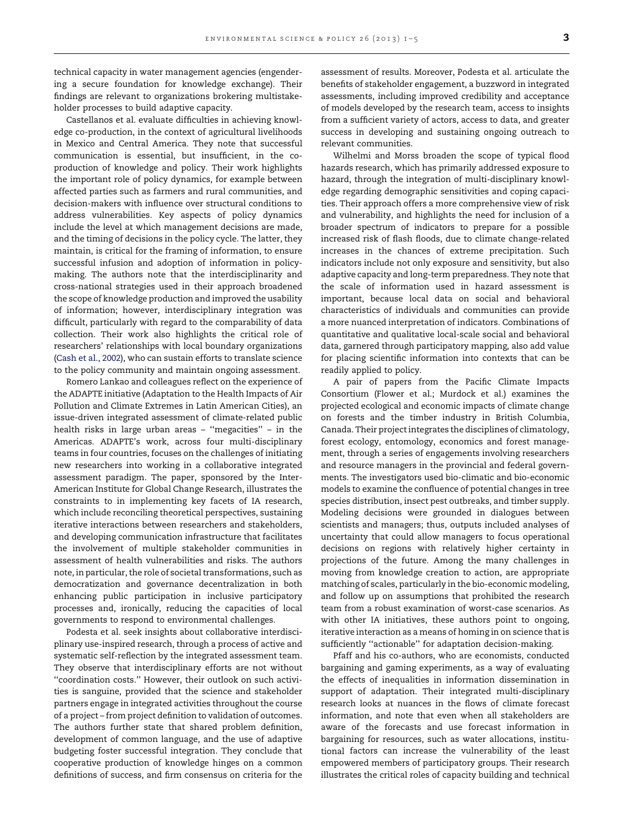technical capacity in water management agencies (engendering a secure foundation for knowledge exchange). Their findings are relevant to organizations brokering multistakeholder processes to build adaptive capacity.

Castellanos et al. evaluate difficulties in achieving knowledge co-production, in the context of agricultural livelihoods in Mexico and Central America. They note that successful communication is essential, but insufficient, in the coproduction of knowledge and policy. Their work highlights the important role of policy dynamics, for example between affected parties such as farmers and rural communities, and decision-makers with influence over structural conditions to address vulnerabilities. Key aspects of policy dynamics include the level at which management decisions are made, and the timing of decisions in the policy cycle. The latter, they maintain, is critical for the framing of information, to ensure successful infusion and adoption of information in policymaking. The authors note that the interdisciplinarity and cross-national strategies used in their approach broadened the scope of knowledge production and improved the usability of information; however, interdisciplinary integration was difficult, particularly with regard to the comparability of data collection. Their work also highlights the critical role of researchers' relationships with local boundary organizations [\(Cash](#page-3-0) et al., 2002), who can sustain efforts to translate science to the policy community and maintain ongoing assessment.

Romero Lankao and colleagues reflect on the experience of the ADAPTE initiative (Adaptation to the Health Impacts of Air Pollution and Climate Extremes in Latin American Cities), an issue-driven integrated assessment of climate-related public health risks in large urban areas – ''megacities'' – in the Americas. ADAPTE's work, across four multi-disciplinary teams in four countries, focuses on the challenges of initiating new researchers into working in a collaborative integrated assessment paradigm. The paper, sponsored by the Inter-American Institute for Global Change Research, illustrates the constraints to in implementing key facets of IA research, which include reconciling theoretical perspectives, sustaining iterative interactions between researchers and stakeholders, and developing communication infrastructure that facilitates the involvement of multiple stakeholder communities in assessment of health vulnerabilities and risks. The authors note, in particular, the role of societal transformations, such as democratization and governance decentralization in both enhancing public participation in inclusive participatory processes and, ironically, reducing the capacities of local governments to respond to environmental challenges.

Podesta et al. seek insights about collaborative interdisciplinary use-inspired research, through a process of active and systematic self-reflection by the integrated assessment team. They observe that interdisciplinary efforts are not without ''coordination costs.'' However, their outlook on such activities is sanguine, provided that the science and stakeholder partners engage in integrated activities throughout the course of a project – from project definition to validation of outcomes. The authors further state that shared problem definition, development of common language, and the use of adaptive budgeting foster successful integration. They conclude that cooperative production of knowledge hinges on a common definitions of success, and firm consensus on criteria for the

assessment of results. Moreover, Podesta et al. articulate the benefits of stakeholder engagement, a buzzword in integrated assessments, including improved credibility and acceptance of models developed by the research team, access to insights from a sufficient variety of actors, access to data, and greater success in developing and sustaining ongoing outreach to relevant communities.

Wilhelmi and Morss broaden the scope of typical flood hazards research, which has primarily addressed exposure to hazard, through the integration of multi-disciplinary knowledge regarding demographic sensitivities and coping capacities. Their approach offers a more comprehensive view of risk and vulnerability, and highlights the need for inclusion of a broader spectrum of indicators to prepare for a possible increased risk of flash floods, due to climate change-related increases in the chances of extreme precipitation. Such indicators include not only exposure and sensitivity, but also adaptive capacity and long-term preparedness. They note that the scale of information used in hazard assessment is important, because local data on social and behavioral characteristics of individuals and communities can provide a more nuanced interpretation of indicators. Combinations of quantitative and qualitative local-scale social and behavioral data, garnered through participatory mapping, also add value for placing scientific information into contexts that can be readily applied to policy.

A pair of papers from the Pacific Climate Impacts Consortium (Flower et al.; Murdock et al.) examines the projected ecological and economic impacts of climate change on forests and the timber industry in British Columbia, Canada. Their project integrates the disciplines of climatology, forest ecology, entomology, economics and forest management, through a series of engagements involving researchers and resource managers in the provincial and federal governments. The investigators used bio-climatic and bio-economic models to examine the confluence of potential changes in tree species distribution, insect pest outbreaks, and timber supply. Modeling decisions were grounded in dialogues between scientists and managers; thus, outputs included analyses of uncertainty that could allow managers to focus operational decisions on regions with relatively higher certainty in projections of the future. Among the many challenges in moving from knowledge creation to action, are appropriate matching of scales, particularly in the bio-economic modeling, and follow up on assumptions that prohibited the research team from a robust examination of worst-case scenarios. As with other IA initiatives, these authors point to ongoing, iterative interaction as a means of homing in on science that is sufficiently ''actionable'' for adaptation decision-making.

Pfaff and his co-authors, who are economists, conducted bargaining and gaming experiments, as a way of evaluating the effects of inequalities in information dissemination in support of adaptation. Their integrated multi-disciplinary research looks at nuances in the flows of climate forecast information, and note that even when all stakeholders are aware of the forecasts and use forecast information in bargaining for resources, such as water allocations, institutional factors can increase the vulnerability of the least empowered members of participatory groups. Their research illustrates the critical roles of capacity building and technical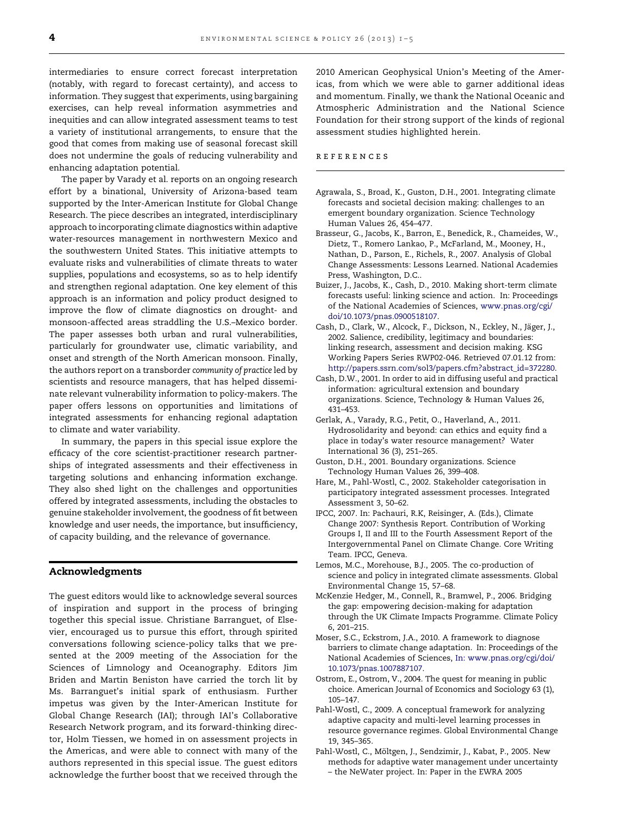<span id="page-3-0"></span>intermediaries to ensure correct forecast interpretation (notably, with regard to forecast certainty), and access to information. They suggest that experiments, using bargaining exercises, can help reveal information asymmetries and inequities and can allow integrated assessment teams to test a variety of institutional arrangements, to ensure that the good that comes from making use of seasonal forecast skill does not undermine the goals of reducing vulnerability and enhancing adaptation potential.

The paper by Varady et al. reports on an ongoing research effort by a binational, University of Arizona-based team supported by the Inter-American Institute for Global Change Research. The piece describes an integrated, interdisciplinary approach to incorporating climate diagnostics within adaptive water-resources management in northwestern Mexico and the southwestern United States. This initiative attempts to evaluate risks and vulnerabilities of climate threats to water supplies, populations and ecosystems, so as to help identify and strengthen regional adaptation. One key element of this approach is an information and policy product designed to improve the flow of climate diagnostics on drought- and monsoon-affected areas straddling the U.S.–Mexico border. The paper assesses both urban and rural vulnerabilities, particularly for groundwater use, climatic variability, and onset and strength of the North American monsoon. Finally, the authors report on a transborder community of practice led by scientists and resource managers, that has helped disseminate relevant vulnerability information to policy-makers. The paper offers lessons on opportunities and limitations of integrated assessments for enhancing regional adaptation to climate and water variability.

In summary, the papers in this special issue explore the efficacy of the core scientist-practitioner research partnerships of integrated assessments and their effectiveness in targeting solutions and enhancing information exchange. They also shed light on the challenges and opportunities offered by integrated assessments, including the obstacles to genuine stakeholder involvement, the goodness of fit between knowledge and user needs, the importance, but insufficiency, of capacity building, and the relevance of governance.

#### Acknowledgments

The guest editors would like to acknowledge several sources of inspiration and support in the process of bringing together this special issue. Christiane Barranguet, of Elsevier, encouraged us to pursue this effort, through spirited conversations following science-policy talks that we presented at the 2009 meeting of the Association for the Sciences of Limnology and Oceanography. Editors Jim Briden and Martin Beniston have carried the torch lit by Ms. Barranguet's initial spark of enthusiasm. Further impetus was given by the Inter-American Institute for Global Change Research (IAI); through IAI's Collaborative Research Network program, and its forward-thinking director, Holm Tiessen, we homed in on assessment projects in the Americas, and were able to connect with many of the authors represented in this special issue. The guest editors acknowledge the further boost that we received through the 2010 American Geophysical Union's Meeting of the Americas, from which we were able to garner additional ideas and momentum. Finally, we thank the National Oceanic and Atmospheric Administration and the National Science Foundation for their strong support of the kinds of regional assessment studies highlighted herein.

#### r e f e r e n c e s

- Agrawala, S., Broad, K., Guston, D.H., 2001. Integrating climate forecasts and societal decision making: challenges to an emergent boundary organization. Science Technology Human Values 26, 454–477.
- Brasseur, G., Jacobs, K., Barron, E., Benedick, R., Chameides, W., Dietz, T., Romero Lankao, P., McFarland, M., Mooney, H., Nathan, D., Parson, E., Richels, R., 2007. Analysis of Global Change Assessments: Lessons Learned. National Academies Press, Washington, D.C..
- Buizer, J., Jacobs, K., Cash, D., 2010. Making short-term climate forecasts useful: linking science and action. In: Proceedings of the National Academies of Sciences, [www.pnas.org/cgi/](http://www.pnas.org/cgi/doi/10.1073/pnas.0900518107) [doi/10.1073/pnas.0900518107.](http://www.pnas.org/cgi/doi/10.1073/pnas.0900518107)
- Cash, D., Clark, W., Alcock, F., Dickson, N., Eckley, N., Jäger, J., 2002. Salience, credibility, legitimacy and boundaries: linking research, assessment and decision making. KSG Working Papers Series RWP02-046. Retrieved 07.01.12 from: [http://papers.ssrn.com/sol3/papers.cfm?abstract\\_id=372280.](http://papers.ssrn.com/sol3/papers.cfm%3Fabstract_id=372280)
- Cash, D.W., 2001. In order to aid in diffusing useful and practical information: agricultural extension and boundary organizations. Science, Technology & Human Values 26, 431–453.
- Gerlak, A., Varady, R.G., Petit, O., Haverland, A., 2011. Hydrosolidarity and beyond: can ethics and equity find a place in today's water resource management? Water International 36 (3), 251–265.
- Guston, D.H., 2001. Boundary organizations. Science Technology Human Values 26, 399–408.
- Hare, M., Pahl-Wostl, C., 2002. Stakeholder categorisation in participatory integrated assessment processes. Integrated Assessment 3, 50–62.
- IPCC, 2007. In: Pachauri, R.K, Reisinger, A. (Eds.), Climate Change 2007: Synthesis Report. Contribution of Working Groups I, II and III to the Fourth Assessment Report of the Intergovernmental Panel on Climate Change. Core Writing Team. IPCC, Geneva.
- Lemos, M.C., Morehouse, B.J., 2005. The co-production of science and policy in integrated climate assessments. Global Environmental Change 15, 57–68.
- McKenzie Hedger, M., Connell, R., Bramwel, P., 2006. Bridging the gap: empowering decision-making for adaptation through the UK Climate Impacts Programme. Climate Policy 6, 201–215.
- Moser, S.C., Eckstrom, J.A., 2010. A framework to diagnose barriers to climate change adaptation. In: Proceedings of the National Academies of Sciences, In: [www.pnas.org/cgi/doi/](http://www.pnas.org/cgi/doi/10.1073/pnas.1007887107) [10.1073/pnas.1007887107.](http://www.pnas.org/cgi/doi/10.1073/pnas.1007887107)
- Ostrom, E., Ostrom, V., 2004. The quest for meaning in public choice. American Journal of Economics and Sociology 63 (1), 105–147.
- Pahl-Wostl, C., 2009. A conceptual framework for analyzing adaptive capacity and multi-level learning processes in resource governance regimes. Global Environmental Change 19, 345–365.
- Pahl-Wostl, C., Möltgen, J., Sendzimir, J., Kabat, P., 2005. New methods for adaptive water management under uncertainty – the NeWater project. In: Paper in the EWRA 2005